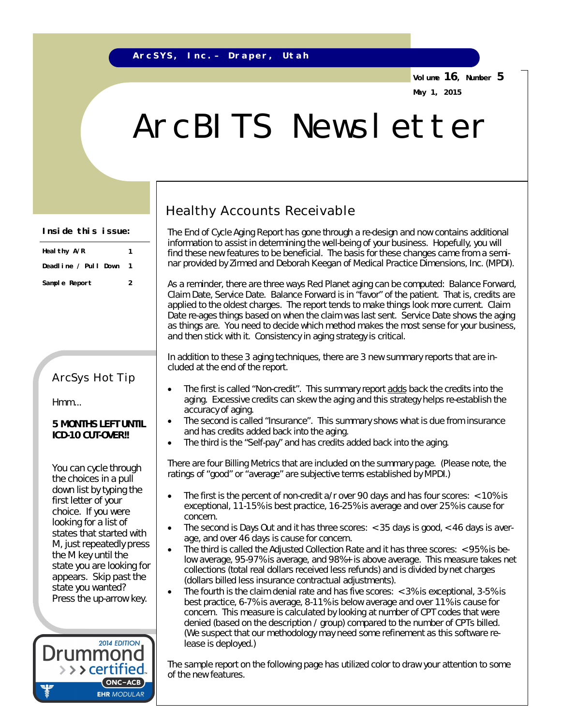**Volume 16, Number 5 May 1, 2015**

# ArcBITS Newsletter

#### **Inside this issue:**

| Heal thy A/R         | 1 |  |
|----------------------|---|--|
| Deadline / Pull Down |   |  |
| Sample Report        | 2 |  |

### ArcSys Hot Tip

Hmm...

#### **5 MONTHS LEFT UNTIL ICD-10 CUT-OVER!!**

You can cycle through the choices in a pull down list by typing the first letter of your choice. If you were looking for a list of states that started with M, just repeatedly press the M key until the state you are looking for appears. Skip past the state you wanted? Press the up-arrow key.



## Healthy Accounts Receivable

The End of Cycle Aging Report has gone through a re-design and now contains additional information to assist in determining the well-being of your business. Hopefully, you will find these new features to be beneficial. The basis for these changes came from a seminar provided by Zirmed and Deborah Keegan of Medical Practice Dimensions, Inc. (MPDI).

As a reminder, there are three ways Red Planet aging can be computed: Balance Forward, Claim Date, Service Date. Balance Forward is in "favor" of the patient. That is, credits are applied to the oldest charges. The report tends to make things look more current. Claim Date re-ages things based on when the claim was last sent. Service Date shows the aging as things are. You need to decide which method makes the most sense for your business, and then stick with it. Consistency in aging strategy is critical.

In addition to these 3 aging techniques, there are *3 new summary reports* that are included at the end of the report.

- The first is called "Non-credit". This summary report adds back the credits into the aging. Excessive credits can skew the aging and this strategy helps re-establish the accuracy of aging.
- The second is called "Insurance". This summary shows what is due from insurance and has credits added back into the aging.
- The third is the "Self-pay" and has credits added back into the aging.

There are *four Billing Metrics* that are included on the summary page. (Please note, the ratings of "good" or "average" are subjective terms established by MPDI.)

- The first is the percent of non-credit a/r over 90 days and has four scores: < 10% is exceptional, 11-15% is best practice, 16-25% is average and over 25% is cause for concern.
- The second is Days Out and it has three scores: < 35 days is good, < 46 days is average, and over 46 days is cause for concern.
- The third is called the Adjusted Collection Rate and it has three scores: < 95% is below average, 95-97% is average, and 98%+ is above average. This measure takes net collections (total real dollars received less refunds) and is divided by net charges (dollars billed less insurance *contractual* adjustments).
- The fourth is the claim denial rate and has five scores: < 3% is exceptional, 3-5% is best practice, 6-7% is average, 8-11% is below average and over 11% is cause for concern. This measure is calculated by looking at number of CPT codes that were denied (based on the description / group) compared to the number of CPTs billed. (We suspect that our methodology may need some refinement as this software release is deployed.)

The sample report on the following page has utilized color to draw your attention to some of the new features.